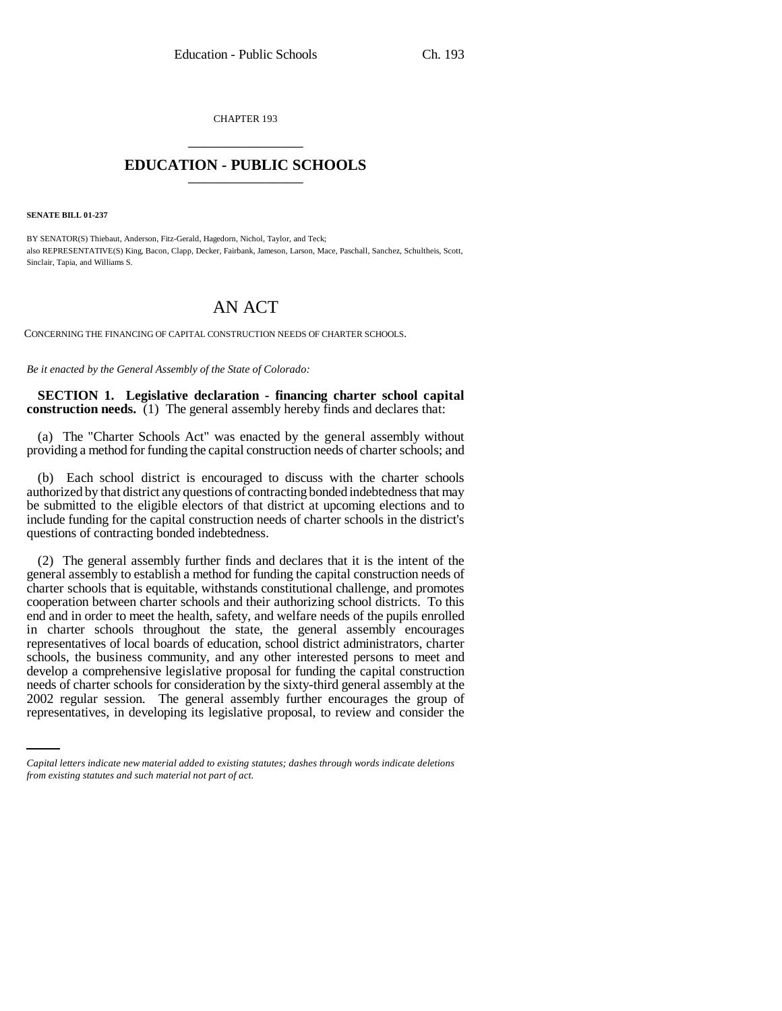CHAPTER 193 \_\_\_\_\_\_\_\_\_\_\_\_\_\_\_

## **EDUCATION - PUBLIC SCHOOLS** \_\_\_\_\_\_\_\_\_\_\_\_\_\_\_

**SENATE BILL 01-237**

BY SENATOR(S) Thiebaut, Anderson, Fitz-Gerald, Hagedorn, Nichol, Taylor, and Teck; also REPRESENTATIVE(S) King, Bacon, Clapp, Decker, Fairbank, Jameson, Larson, Mace, Paschall, Sanchez, Schultheis, Scott, Sinclair, Tapia, and Williams S.

## AN ACT

CONCERNING THE FINANCING OF CAPITAL CONSTRUCTION NEEDS OF CHARTER SCHOOLS.

*Be it enacted by the General Assembly of the State of Colorado:*

**SECTION 1. Legislative declaration - financing charter school capital construction needs.** (1) The general assembly hereby finds and declares that:

(a) The "Charter Schools Act" was enacted by the general assembly without providing a method for funding the capital construction needs of charter schools; and

(b) Each school district is encouraged to discuss with the charter schools authorized by that district any questions of contracting bonded indebtedness that may be submitted to the eligible electors of that district at upcoming elections and to include funding for the capital construction needs of charter schools in the district's questions of contracting bonded indebtedness.

needs of charter schools for consideration by the sixty-third general assembly at the (2) The general assembly further finds and declares that it is the intent of the general assembly to establish a method for funding the capital construction needs of charter schools that is equitable, withstands constitutional challenge, and promotes cooperation between charter schools and their authorizing school districts. To this end and in order to meet the health, safety, and welfare needs of the pupils enrolled in charter schools throughout the state, the general assembly encourages representatives of local boards of education, school district administrators, charter schools, the business community, and any other interested persons to meet and develop a comprehensive legislative proposal for funding the capital construction 2002 regular session. The general assembly further encourages the group of representatives, in developing its legislative proposal, to review and consider the

*Capital letters indicate new material added to existing statutes; dashes through words indicate deletions from existing statutes and such material not part of act.*